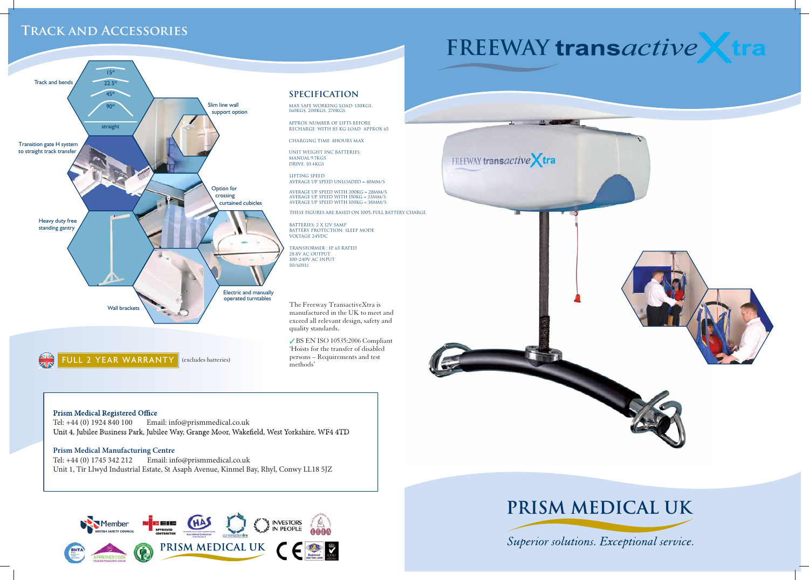## **Specification**

Max Safe working load: 130kgs, 160kgs, 200kgs, 270kgs.

Approx number of lifts before recharge: With 85 kg load Approx 65

Charging time: 8hours max

Unit weight inc batteries: Manual:9.7kgs Drive: 10.4kgs

## **Track and Accessories**

Lifting speed: Average up speed unloaded = 40mm/s

Average up speed with 200kg = 28mm/s Average up Speed with 150kg = 33mm/s Average up Speed with 100kg = 38mm/s

These figures are based on 100% full battery charge.

Batteries: 2 x 12v 5amp Battery protection: Sleep Mode Voltage 24VDC

Transformer : IP 65 rated 28.8V AC OUTPUT 100–240V AC input 50/60Hz

Tel: +44 (0) 1924 840 100 Email: info@prismmedical.co.uk Unit 4, Jubilee Business Park, Jubilee Way, Grange Moor, Wakefield, West Yorkshire, WF4 4TD



The Freeway TransactiveXtra is manufactured in the UK to meet and exceed all relevant design, safety and quality standards.

 BS EN ISO 10535:2006 Compliant 'Hoists for the transfer of disabled persons – Requirements and test methods'



## **Prism Medical Registered Office**

## **Prism Medical Manufacturing Centre**

Tel: +44 (0) 1745 342 212 Email: info@prismmedical.co.uk Unit 1, Tir Llwyd Industrial Estate, St Asaph Avenue, Kinmel Bay, Rhyl, Conwy LL18 5JZ